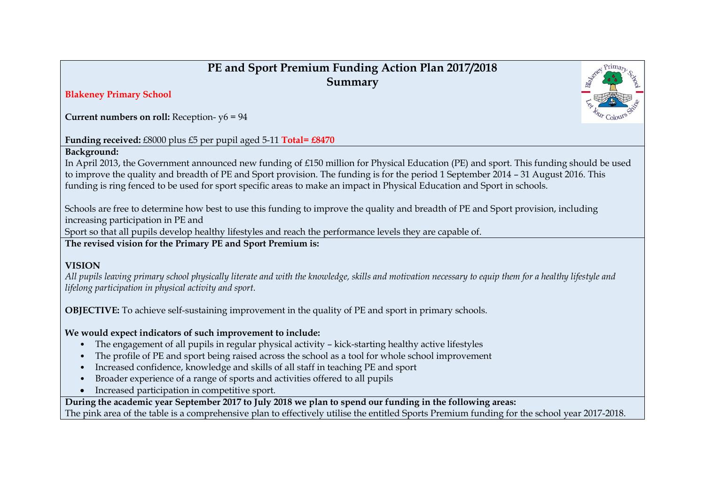## **PE and Sport Premium Funding Action Plan 2017/2018 Summary**

#### **Blakeney Primary School**

**Current numbers on roll:** Reception- y6 = 94

### **Funding received:** £8000 plus £5 per pupil aged 5-11 **Total= £8470**

#### **Background:**

In April 2013, the Government announced new funding of £150 million for Physical Education (PE) and sport. This funding should be used to improve the quality and breadth of PE and Sport provision. The funding is for the period 1 September 2014 – 31 August 2016. This funding is ring fenced to be used for sport specific areas to make an impact in Physical Education and Sport in schools.

Schools are free to determine how best to use this funding to improve the quality and breadth of PE and Sport provision, including increasing participation in PE and

Sport so that all pupils develop healthy lifestyles and reach the performance levels they are capable of.

**The revised vision for the Primary PE and Sport Premium is:**

#### **VISION**

*All pupils leaving primary school physically literate and with the knowledge, skills and motivation necessary to equip them for a healthy lifestyle and lifelong participation in physical activity and sport.*

**OBJECTIVE:** To achieve self-sustaining improvement in the quality of PE and sport in primary schools.

#### **We would expect indicators of such improvement to include:**

- The engagement of all pupils in regular physical activity kick-starting healthy active lifestyles
- The profile of PE and sport being raised across the school as a tool for whole school improvement
- Increased confidence, knowledge and skills of all staff in teaching PE and sport
- Broader experience of a range of sports and activities offered to all pupils
- Increased participation in competitive sport.

**During the academic year September 2017 to July 2018 we plan to spend our funding in the following areas:** The pink area of the table is a comprehensive plan to effectively utilise the entitled Sports Premium funding for the school year 2017-2018.

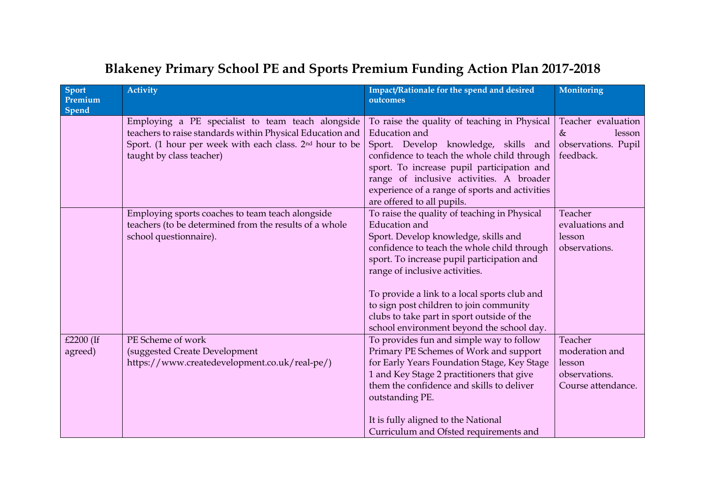| Sport<br>Premium<br>Spend | <b>Activity</b>                                                                                                                                                                                                   | Impact/Rationale for the spend and desired<br>outcomes                                                                                                                                                                                                                                                                                                                                                                     | Monitoring                                                                 |
|---------------------------|-------------------------------------------------------------------------------------------------------------------------------------------------------------------------------------------------------------------|----------------------------------------------------------------------------------------------------------------------------------------------------------------------------------------------------------------------------------------------------------------------------------------------------------------------------------------------------------------------------------------------------------------------------|----------------------------------------------------------------------------|
|                           | Employing a PE specialist to team teach alongside<br>teachers to raise standards within Physical Education and<br>Sport. (1 hour per week with each class. 2 <sup>nd</sup> hour to be<br>taught by class teacher) | To raise the quality of teaching in Physical<br><b>Education</b> and<br>Sport. Develop knowledge, skills and<br>confidence to teach the whole child through<br>sport. To increase pupil participation and<br>range of inclusive activities. A broader<br>experience of a range of sports and activities<br>are offered to all pupils.                                                                                      | Teacher evaluation<br>$\&$<br>lesson<br>observations. Pupil<br>feedback.   |
|                           | Employing sports coaches to team teach alongside<br>teachers (to be determined from the results of a whole<br>school questionnaire).                                                                              | To raise the quality of teaching in Physical<br>Education and<br>Sport. Develop knowledge, skills and<br>confidence to teach the whole child through<br>sport. To increase pupil participation and<br>range of inclusive activities.<br>To provide a link to a local sports club and<br>to sign post children to join community<br>clubs to take part in sport outside of the<br>school environment beyond the school day. | Teacher<br>evaluations and<br>lesson<br>observations.                      |
| £2200 (If<br>agreed)      | PE Scheme of work<br>(suggested Create Development<br>https://www.createdevelopment.co.uk/real-pe/)                                                                                                               | To provides fun and simple way to follow<br>Primary PE Schemes of Work and support<br>for Early Years Foundation Stage, Key Stage<br>1 and Key Stage 2 practitioners that give<br>them the confidence and skills to deliver<br>outstanding PE.<br>It is fully aligned to the National<br>Curriculum and Ofsted requirements and                                                                                            | Teacher<br>moderation and<br>lesson<br>observations.<br>Course attendance. |

# **Blakeney Primary School PE and Sports Premium Funding Action Plan 2017-2018**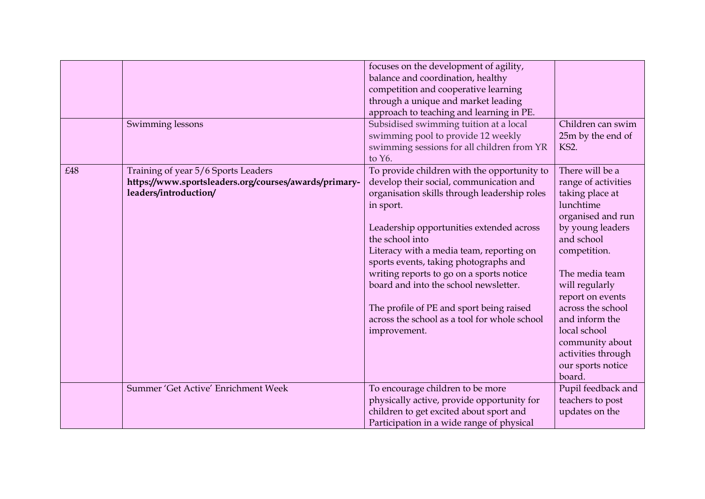|     | Swimming lessons                                                                                                      | focuses on the development of agility,<br>balance and coordination, healthy<br>competition and cooperative learning<br>through a unique and market leading<br>approach to teaching and learning in PE.<br>Subsidised swimming tuition at a local<br>swimming pool to provide 12 weekly<br>swimming sessions for all children from YR<br>to Y6.                                                                                                                                                           | Children can swim<br>25m by the end of<br>KS2.                                                                                                                                                                                                                                                                                       |
|-----|-----------------------------------------------------------------------------------------------------------------------|----------------------------------------------------------------------------------------------------------------------------------------------------------------------------------------------------------------------------------------------------------------------------------------------------------------------------------------------------------------------------------------------------------------------------------------------------------------------------------------------------------|--------------------------------------------------------------------------------------------------------------------------------------------------------------------------------------------------------------------------------------------------------------------------------------------------------------------------------------|
| £48 | Training of year 5/6 Sports Leaders<br>https://www.sportsleaders.org/courses/awards/primary-<br>leaders/introduction/ | To provide children with the opportunity to<br>develop their social, communication and<br>organisation skills through leadership roles<br>in sport.<br>Leadership opportunities extended across<br>the school into<br>Literacy with a media team, reporting on<br>sports events, taking photographs and<br>writing reports to go on a sports notice<br>board and into the school newsletter.<br>The profile of PE and sport being raised<br>across the school as a tool for whole school<br>improvement. | There will be a<br>range of activities<br>taking place at<br>lunchtime<br>organised and run<br>by young leaders<br>and school<br>competition.<br>The media team<br>will regularly<br>report on events<br>across the school<br>and inform the<br>local school<br>community about<br>activities through<br>our sports notice<br>board. |
|     | Summer 'Get Active' Enrichment Week                                                                                   | To encourage children to be more<br>physically active, provide opportunity for<br>children to get excited about sport and<br>Participation in a wide range of physical                                                                                                                                                                                                                                                                                                                                   | Pupil feedback and<br>teachers to post<br>updates on the                                                                                                                                                                                                                                                                             |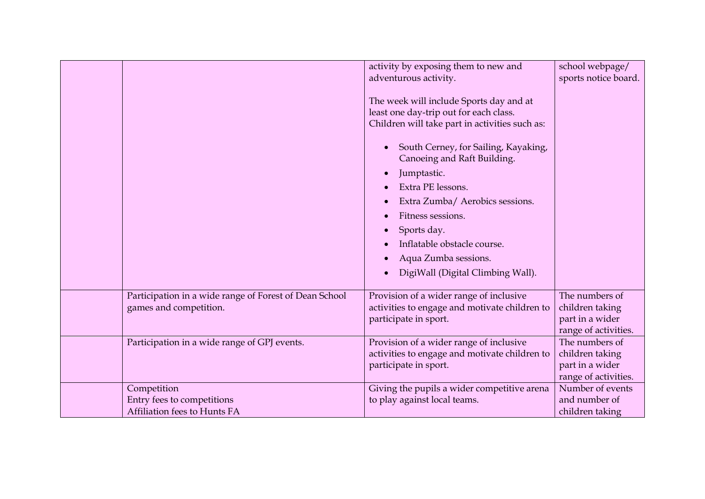|                                                                           |                                                        | activity by exposing them to new and<br>adventurous activity.<br>The week will include Sports day and at<br>least one day-trip out for each class.<br>Children will take part in activities such as:<br>South Cerney, for Sailing, Kayaking,<br>Canoeing and Raft Building.<br>Jumptastic.<br>Extra PE lessons.<br>Extra Zumba/ Aerobics sessions.<br>Fitness sessions.<br>Sports day.<br>Inflatable obstacle course.<br>Aqua Zumba sessions.<br>DigiWall (Digital Climbing Wall). | school webpage/<br>sports notice board.                                      |
|---------------------------------------------------------------------------|--------------------------------------------------------|------------------------------------------------------------------------------------------------------------------------------------------------------------------------------------------------------------------------------------------------------------------------------------------------------------------------------------------------------------------------------------------------------------------------------------------------------------------------------------|------------------------------------------------------------------------------|
| games and competition.                                                    | Participation in a wide range of Forest of Dean School | Provision of a wider range of inclusive<br>activities to engage and motivate children to<br>participate in sport.                                                                                                                                                                                                                                                                                                                                                                  | The numbers of<br>children taking<br>part in a wider<br>range of activities. |
| Participation in a wide range of GPJ events.                              |                                                        | Provision of a wider range of inclusive<br>activities to engage and motivate children to<br>participate in sport.                                                                                                                                                                                                                                                                                                                                                                  | The numbers of<br>children taking<br>part in a wider<br>range of activities. |
| Competition<br>Entry fees to competitions<br>Affiliation fees to Hunts FA |                                                        | Giving the pupils a wider competitive arena<br>to play against local teams.                                                                                                                                                                                                                                                                                                                                                                                                        | Number of events<br>and number of<br>children taking                         |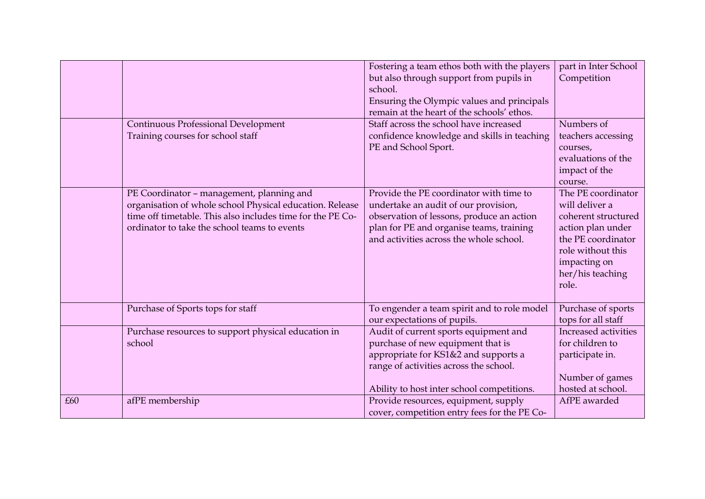|     |                                                                                                                                                                                                                     | Fostering a team ethos both with the players<br>but also through support from pupils in<br>school.                                                                                                                  | part in Inter School<br>Competition                                                                                                                                      |
|-----|---------------------------------------------------------------------------------------------------------------------------------------------------------------------------------------------------------------------|---------------------------------------------------------------------------------------------------------------------------------------------------------------------------------------------------------------------|--------------------------------------------------------------------------------------------------------------------------------------------------------------------------|
|     |                                                                                                                                                                                                                     | Ensuring the Olympic values and principals<br>remain at the heart of the schools' ethos.                                                                                                                            |                                                                                                                                                                          |
|     | Continuous Professional Development<br>Training courses for school staff                                                                                                                                            | Staff across the school have increased<br>confidence knowledge and skills in teaching                                                                                                                               | Numbers of<br>teachers accessing                                                                                                                                         |
|     |                                                                                                                                                                                                                     | PE and School Sport.                                                                                                                                                                                                | courses,<br>evaluations of the<br>impact of the<br>course.                                                                                                               |
|     | PE Coordinator - management, planning and<br>organisation of whole school Physical education. Release<br>time off timetable. This also includes time for the PE Co-<br>ordinator to take the school teams to events | Provide the PE coordinator with time to<br>undertake an audit of our provision,<br>observation of lessons, produce an action<br>plan for PE and organise teams, training<br>and activities across the whole school. | The PE coordinator<br>will deliver a<br>coherent structured<br>action plan under<br>the PE coordinator<br>role without this<br>impacting on<br>her/his teaching<br>role. |
|     | Purchase of Sports tops for staff                                                                                                                                                                                   | To engender a team spirit and to role model<br>our expectations of pupils.                                                                                                                                          | Purchase of sports<br>tops for all staff                                                                                                                                 |
|     | Purchase resources to support physical education in<br>school                                                                                                                                                       | Audit of current sports equipment and<br>purchase of new equipment that is<br>appropriate for KS1&2 and supports a<br>range of activities across the school.<br>Ability to host inter school competitions.          | Increased activities<br>for children to<br>participate in.<br>Number of games<br>hosted at school.                                                                       |
| £60 | afPE membership                                                                                                                                                                                                     | Provide resources, equipment, supply<br>cover, competition entry fees for the PE Co-                                                                                                                                | AfPE awarded                                                                                                                                                             |